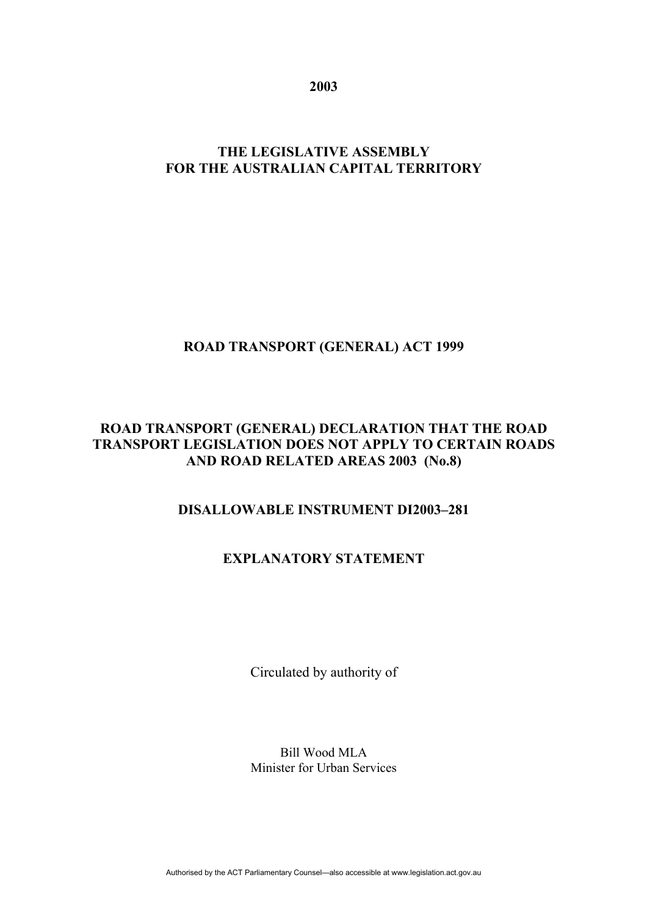**2003** 

# **THE LEGISLATIVE ASSEMBLY FOR THE AUSTRALIAN CAPITAL TERRITORY**

# **ROAD TRANSPORT (GENERAL) ACT 1999**

## **ROAD TRANSPORT (GENERAL) DECLARATION THAT THE ROAD TRANSPORT LEGISLATION DOES NOT APPLY TO CERTAIN ROADS AND ROAD RELATED AREAS 2003 (No.8)**

# **DISALLOWABLE INSTRUMENT DI2003–281**

# **EXPLANATORY STATEMENT**

Circulated by authority of

Bill Wood MLA Minister for Urban Services